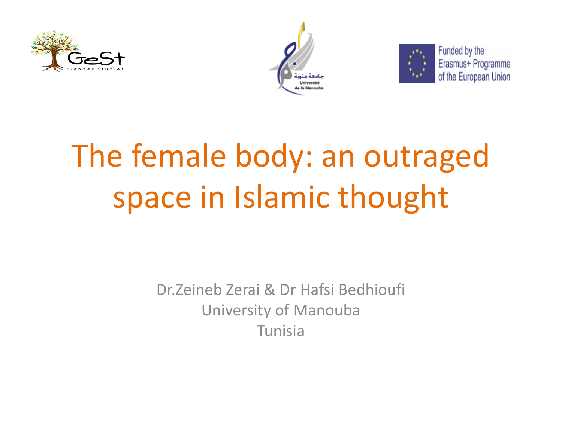





Funded by the Erasmus+ Programme of the European Union

# The female body: an outraged space in Islamic thought

Dr.Zeineb Zerai & Dr Hafsi Bedhioufi University of Manouba Tunisia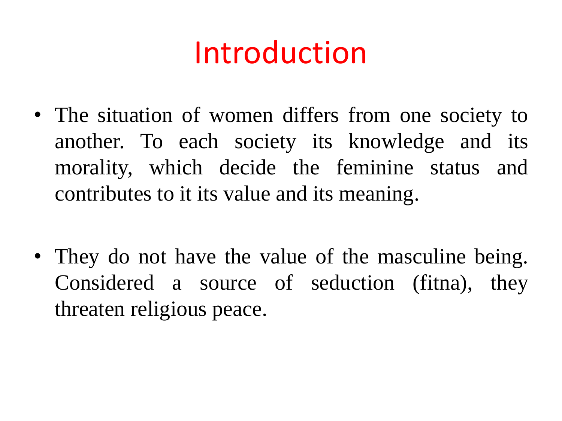### Introduction

- The situation of women differs from one society to another. To each society its knowledge and its morality, which decide the feminine status and contributes to it its value and its meaning.
- They do not have the value of the masculine being. Considered a source of seduction (fitna), they threaten religious peace.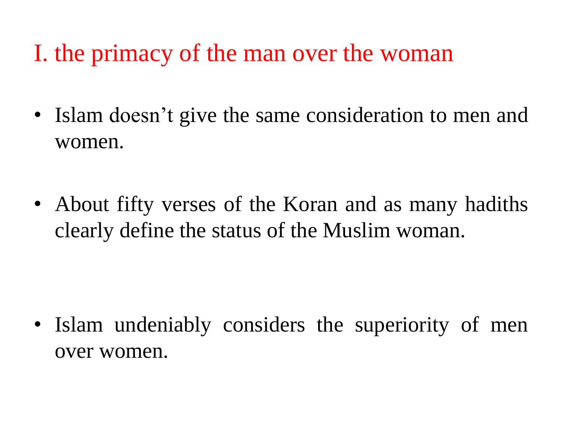I. the primacy of the man over the woman

- Islam doesn't give the same consideration to men and women.
- About fifty verses of the Koran and as many hadiths clearly define the status of the Muslim woman.

• Islam undeniably considers the superiority of men over women.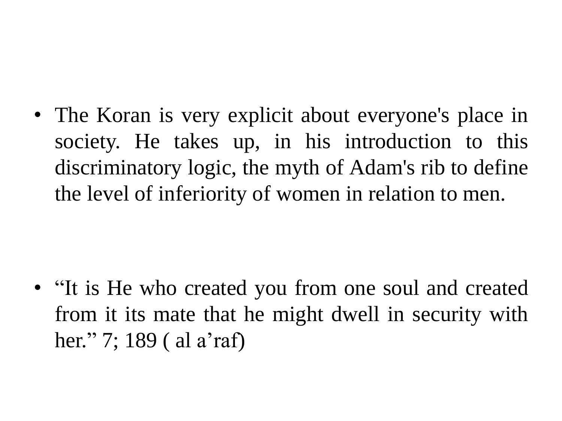• The Koran is very explicit about everyone's place in society. He takes up, in his introduction to this discriminatory logic, the myth of Adam's rib to define the level of inferiority of women in relation to men.

• "It is He who created you from one soul and created from it its mate that he might dwell in security with her." 7; 189 ( al a'raf)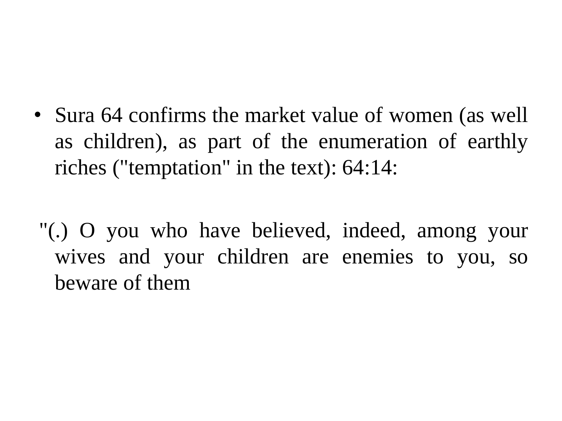• Sura 64 confirms the market value of women (as well as children), as part of the enumeration of earthly riches ("temptation" in the text): 64:14:

"(.) O you who have believed, indeed, among your wives and your children are enemies to you, so beware of them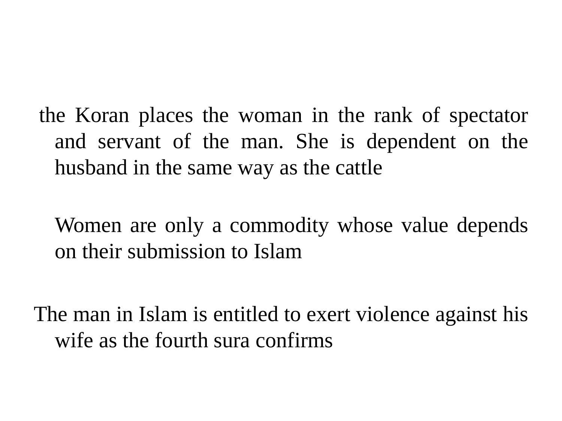the Koran places the woman in the rank of spectator and servant of the man. She is dependent on the husband in the same way as the cattle

Women are only a commodity whose value depends on their submission to Islam

The man in Islam is entitled to exert violence against his wife as the fourth sura confirms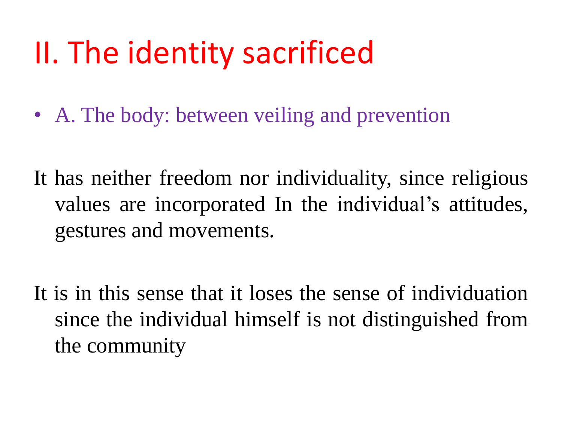### II. The identity sacrificed

- A. The body: between veiling and prevention
- It has neither freedom nor individuality, since religious values are incorporated In the individual's attitudes, gestures and movements.
- It is in this sense that it loses the sense of individuation since the individual himself is not distinguished from the community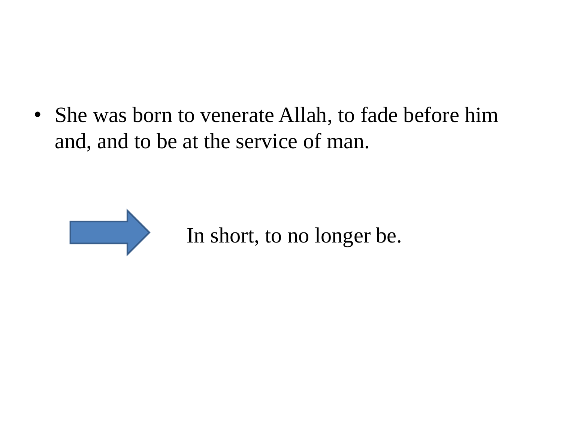• She was born to venerate Allah, to fade before him and, and to be at the service of man.



In short, to no longer be.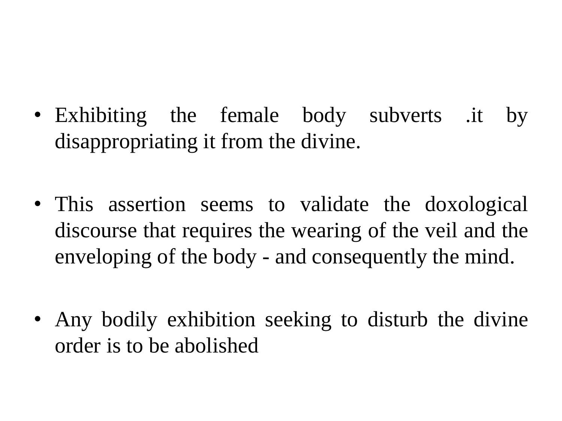- Exhibiting the female body subverts .it by disappropriating it from the divine.
- This assertion seems to validate the doxological discourse that requires the wearing of the veil and the enveloping of the body - and consequently the mind.
- Any bodily exhibition seeking to disturb the divine order is to be abolished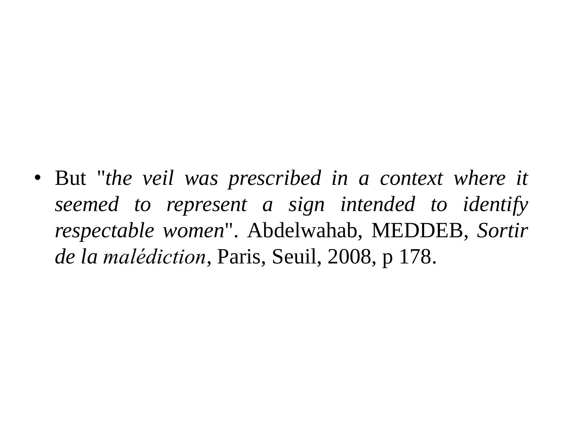• But "*the veil was prescribed in a context where it seemed to represent a sign intended to identify respectable women*". Abdelwahab, MEDDEB, *Sortir de la malédiction*, Paris, Seuil, 2008, p 178.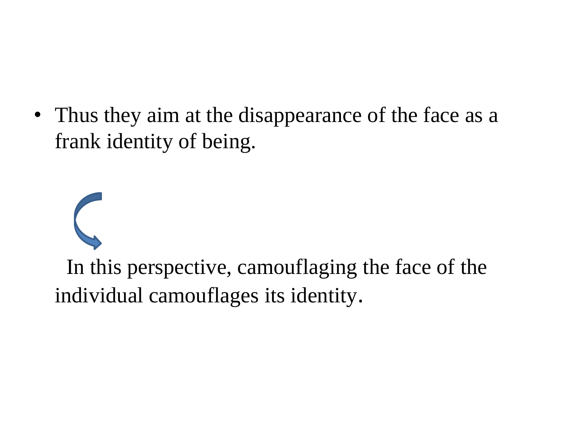• Thus they aim at the disappearance of the face as a frank identity of being.

In this perspective, camouflaging the face of the individual camouflages its identity.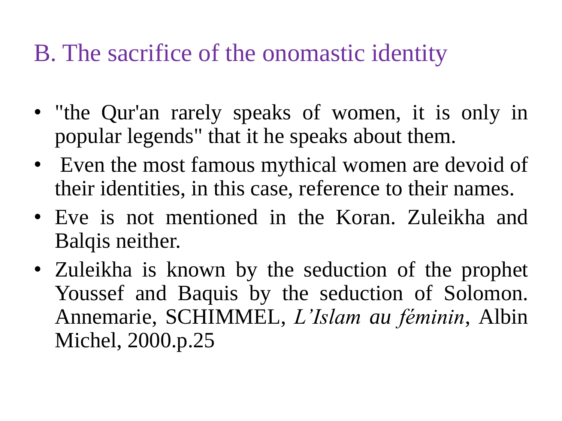#### B. The sacrifice of the onomastic identity

- "the Qur'an rarely speaks of women, it is only in popular legends" that it he speaks about them.
- Even the most famous mythical women are devoid of their identities, in this case, reference to their names.
- Eve is not mentioned in the Koran. Zuleikha and Balqis neither.
- Zuleikha is known by the seduction of the prophet Youssef and Baquis by the seduction of Solomon. Annemarie, SCHIMMEL, *L'Islam au féminin*, Albin Michel, 2000.p.25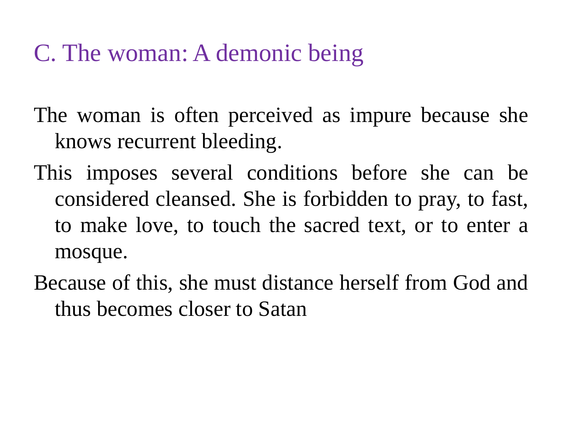#### C. The woman: A demonic being

The woman is often perceived as impure because she knows recurrent bleeding.

- This imposes several conditions before she can be considered cleansed. She is forbidden to pray, to fast, to make love, to touch the sacred text, or to enter a mosque.
- Because of this, she must distance herself from God and thus becomes closer to Satan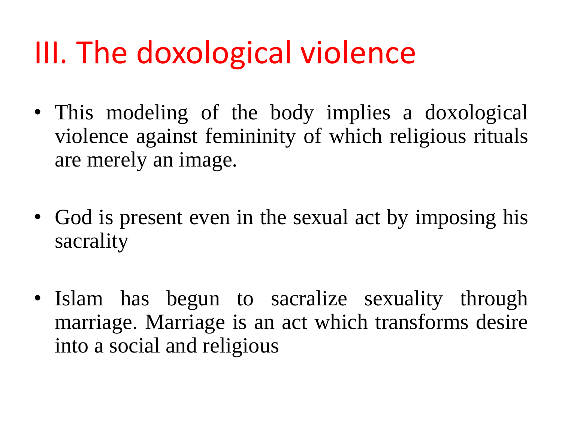## III. The doxological violence

- This modeling of the body implies a doxological violence against femininity of which religious rituals are merely an image.
- God is present even in the sexual act by imposing his sacrality
- Islam has begun to sacralize sexuality through marriage. Marriage is an act which transforms desire into a social and religious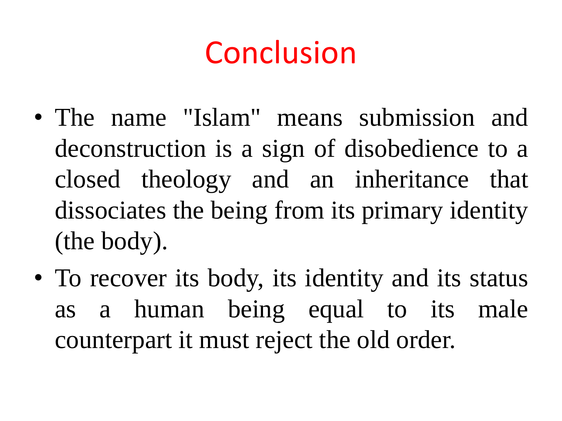## Conclusion

- The name "Islam" means submission and deconstruction is a sign of disobedience to a closed theology and an inheritance that dissociates the being from its primary identity (the body).
- To recover its body, its identity and its status as a human being equal to its male counterpart it must reject the old order.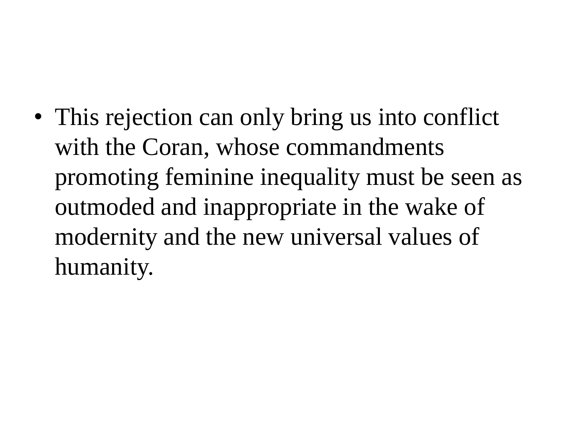• This rejection can only bring us into conflict with the Coran, whose commandments promoting feminine inequality must be seen as outmoded and inappropriate in the wake of modernity and the new universal values of humanity.